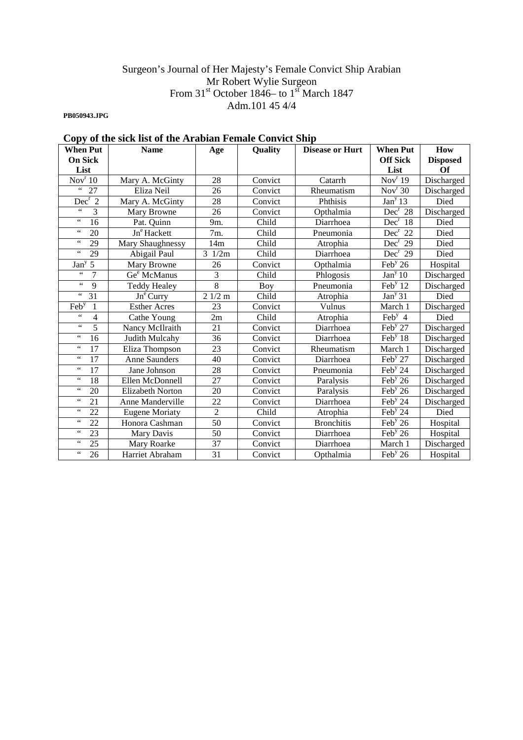#### Surgeon's Journal of Her Majesty's Female Convict Ship Arabian Mr Robert Wylie Surgeon From  $31<sup>st</sup>$  October 1846– to  $1<sup>st</sup>$  March 1847 Adm.101 45 4/4

**PB050943.JPG** 

# **Copy of the sick list of the Arabian Female Convict Ship**

| <b>When Put</b>                    | <b>Name</b>             | Age                    | Quality | <b>Disease or Hurt</b> | <b>When Put</b>                       | How             |
|------------------------------------|-------------------------|------------------------|---------|------------------------|---------------------------------------|-----------------|
| <b>On Sick</b>                     |                         |                        |         |                        | <b>Off Sick</b>                       | <b>Disposed</b> |
| List                               |                         |                        |         |                        | List                                  | Of              |
| Nov <sup>r</sup> 10                | Mary A. McGinty         | 28                     | Convict | Catarrh                | Nov <sup>r</sup> 19                   | Discharged      |
| $\zeta\,\zeta$<br>27               | Eliza Neil              | 26                     | Convict | Rheumatism             | Nov <sup>r</sup> 30                   | Discharged      |
| Dec <sup>r</sup> 2                 | Mary A. McGinty         | 28                     | Convict | Phthisis               | $\overline{Jan}^y$ 13                 | Died            |
| $\zeta\,\zeta$<br>3                | Mary Browne             | 26                     | Convict | Opthalmia              | $Dec^r 28$                            | Discharged      |
| $\zeta\,\zeta$<br>16               | Pat. Quinn              | 9m.                    | Child   | Diarrhoea              | $\overline{\text{Dec}}^r$ 18          | Died            |
| $\zeta\,\zeta$<br>20               | Jn <sup>e</sup> Hackett | 7m.                    | Child   | Pneumonia              | $Dec^r$<br>22                         | Died            |
| $\zeta$ $\zeta$<br>29              | Mary Shaughnessy        | 14m                    | Child   | Atrophia               | $Dec^r 29$                            | Died            |
| $\zeta\,\zeta$<br>29               | Abigail Paul            | $\overline{3}$<br>1/2m | Child   | Diarrhoea              | Dec <sup>r</sup> 29                   | Died            |
| Jan <sup>y</sup><br>5              | Mary Browne             | 26                     | Convict | Opthalmia              | Feb <sup>y</sup> 26                   | Hospital        |
| $\overline{7}$<br>$\zeta$ $\zeta$  | Ge <sup>e</sup> McManus | 3                      | Child   | Phlogosis              | Jan <sup>y</sup> 10                   | Discharged      |
| $\zeta\,\zeta$<br>9                | <b>Teddy Healey</b>     | 8                      | Boy     | Pneumonia              | Feb $y$ 12                            | Discharged      |
| $\zeta$ $\zeta$<br>31              | $Jn^e$ Curry            | 21/2 m                 | Child   | Atrophia               | Jan <sup>y</sup> 31                   | Died            |
| Feby<br>$\mathbf{1}$               | <b>Esther Acres</b>     | 23                     | Convict | Vulnus                 | March 1                               | Discharged      |
| $\zeta\,\zeta$<br>4                | Cathe Young             | 2m                     | Child   | Atrophia               | $\overline{\text{Feb}^y}$ 4           | Died            |
| $\zeta$ $\zeta$<br>5               | Nancy McIlraith         | 21                     | Convict | Diarrhoea              | Feb $y$ 27                            | Discharged      |
| $\zeta\,\zeta$<br>16               | Judith Mulcahy          | 36                     | Convict | Diarrhoea              | Feb <sup>y</sup> 18                   | Discharged      |
| $\zeta\,\zeta$<br>17               | Eliza Thompson          | 23                     | Convict | Rheumatism             | March 1                               | Discharged      |
| $\zeta\,\zeta$<br>$\overline{17}$  | <b>Anne Saunders</b>    | 40                     | Convict | Diarrhoea              | Feb <sup>y</sup> 27                   | Discharged      |
| $\zeta\,\zeta$<br>17               | Jane Johnson            | 28                     | Convict | Pneumonia              | Feb <sup>y</sup> 24                   | Discharged      |
| $\zeta$ $\zeta$<br>18              | Ellen McDonnell         | 27                     | Convict | Paralysis              | $\overline{\text{Feb}}^{\text{y}}$ 26 | Discharged      |
| $\zeta\,\zeta$<br>20               | <b>Elizabeth Norton</b> | 20                     | Convict | Paralysis              | $\overline{\text{Feb}^y}$ 26          | Discharged      |
| $\zeta$ $\zeta$<br>$\overline{21}$ | <b>Anne Manderville</b> | 22                     | Convict | Diarrhoea              | $\overline{\text{Feb}}^{\text{y}} 24$ | Discharged      |
| $\zeta$ $\zeta$<br>22              | <b>Eugene Moriaty</b>   | $\overline{2}$         | Child   | Atrophia               | Feb <sup>y</sup> 24                   | Died            |
| $\zeta\,\zeta$<br>22               | Honora Cashman          | $\overline{50}$        | Convict | <b>Bronchitis</b>      | Feb <sup>y</sup> 26                   | Hospital        |
| $\zeta$ $\zeta$<br>$\overline{23}$ | Mary Davis              | $\overline{50}$        | Convict | Diarrhoea              | Feb <sup>y</sup> 26                   | Hospital        |
| $\zeta$ $\zeta$<br>25              | Mary Roarke             | $\overline{37}$        | Convict | Diarrhoea              | March 1                               | Discharged      |
| $\zeta$ $\zeta$<br>26              | Harriet Abraham         | 31                     | Convict | Opthalmia              | Feb <sup>y</sup> 26                   | Hospital        |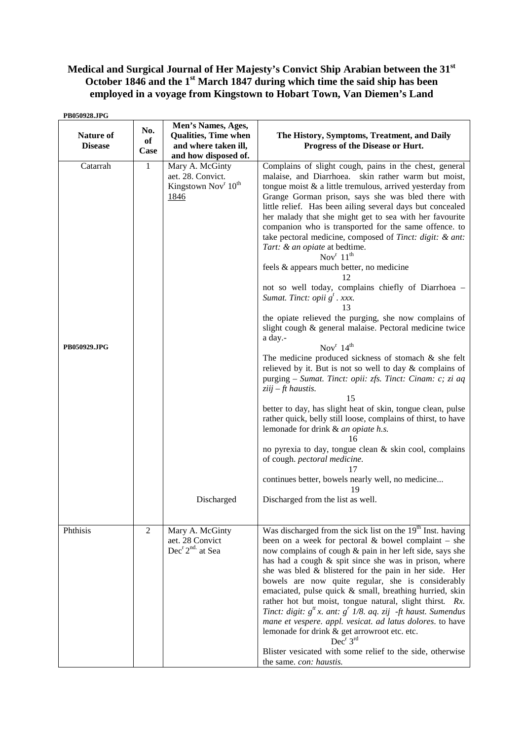# **Medical and Surgical Journal of Her Majesty's Convict Ship Arabian between the 31st October 1846 and the 1st March 1847 during which time the said ship has been employed in a voyage from Kingstown to Hobart Town, Van Diemen's Land**

| PB050928.JPG                       |                   |                                                                                                           |                                                                                                                                                                                                                                                                                                                                                                                                                                                                                                                                                                                                                                                                                                                                                                                                                                                                                                                                                                                                                                                                                                                                                                                                                                                                                                                                                                                                                                                                       |
|------------------------------------|-------------------|-----------------------------------------------------------------------------------------------------------|-----------------------------------------------------------------------------------------------------------------------------------------------------------------------------------------------------------------------------------------------------------------------------------------------------------------------------------------------------------------------------------------------------------------------------------------------------------------------------------------------------------------------------------------------------------------------------------------------------------------------------------------------------------------------------------------------------------------------------------------------------------------------------------------------------------------------------------------------------------------------------------------------------------------------------------------------------------------------------------------------------------------------------------------------------------------------------------------------------------------------------------------------------------------------------------------------------------------------------------------------------------------------------------------------------------------------------------------------------------------------------------------------------------------------------------------------------------------------|
| <b>Nature of</b><br><b>Disease</b> | No.<br>of<br>Case | Men's Names, Ages,<br><b>Qualities, Time when</b><br>and where taken ill,<br>and how disposed of.         | The History, Symptoms, Treatment, and Daily<br>Progress of the Disease or Hurt.                                                                                                                                                                                                                                                                                                                                                                                                                                                                                                                                                                                                                                                                                                                                                                                                                                                                                                                                                                                                                                                                                                                                                                                                                                                                                                                                                                                       |
| Catarrah<br>PB050929.JPG           | $\mathbf{1}$      | Mary A. McGinty<br>aet. 28. Convict.<br>Kingstown Nov <sup>r</sup> 10 <sup>th</sup><br>1846<br>Discharged | Complains of slight cough, pains in the chest, general<br>malaise, and Diarrhoea. skin rather warm but moist,<br>tongue moist $\&$ a little tremulous, arrived yesterday from<br>Grange Gorman prison, says she was bled there with<br>little relief. Has been ailing several days but concealed<br>her malady that she might get to sea with her favourite<br>companion who is transported for the same offence. to<br>take pectoral medicine, composed of Tinct: digit: & ant:<br>Tart: & an opiate at bedtime.<br>Nov $^r 11^{\text{th}}$<br>feels & appears much better, no medicine<br>12<br>not so well today, complains chiefly of Diarrhoea -<br>Sumat. Tinct: opii g <sup>t</sup> . xxx.<br>13<br>the opiate relieved the purging, she now complains of<br>slight cough & general malaise. Pectoral medicine twice<br>a day.-<br>Nov $^r$ 14 <sup>th</sup><br>The medicine produced sickness of stomach $\&$ she felt<br>relieved by it. But is not so well to day $\&$ complains of<br>purging – Sumat. Tinct: opii: zfs. Tinct: Cinam: c; zi aq<br>$ziij$ – ft haustis.<br>15<br>better to day, has slight heat of skin, tongue clean, pulse<br>rather quick, belly still loose, complains of thirst, to have<br>lemonade for drink & an opiate h.s.<br>16<br>no pyrexia to day, tongue clean & skin cool, complains<br>of cough. pectoral medicine.<br>17<br>continues better, bowels nearly well, no medicine<br>19<br>Discharged from the list as well. |
| Phthisis                           | 2                 | Mary A. McGinty<br>aet. 28 Convict<br>Dec <sup>r</sup> 2 <sup>nd</sup> at Sea                             | Was discharged from the sick list on the 19 <sup>th</sup> Inst. having<br>been on a week for pectoral $&$ bowel complaint – she<br>now complains of cough & pain in her left side, says she<br>has had a cough $\&$ spit since she was in prison, where<br>she was bled & blistered for the pain in her side. Her<br>bowels are now quite regular, she is considerably<br>emaciated, pulse quick & small, breathing hurried, skin<br>rather hot but moist, tongue natural, slight thirst. Rx.<br>Tinct: digit: $g^t x$ . ant: $g^r 1/8$ . aq. zij -ft haust. Sumendus<br>mane et vespere. appl. vesicat. ad latus dolores. to have<br>lemonade for drink & get arrowroot etc. etc.<br>$Dec^r 3^{rd}$<br>Blister vesicated with some relief to the side, otherwise<br>the same. con: haustis.                                                                                                                                                                                                                                                                                                                                                                                                                                                                                                                                                                                                                                                                          |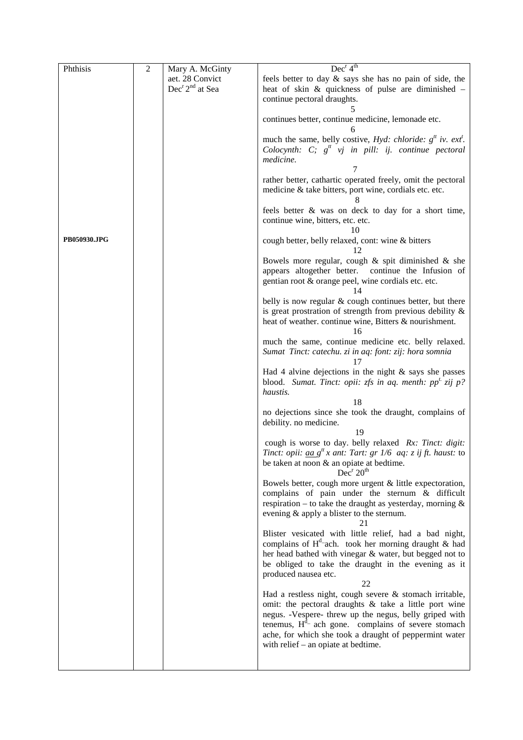| Phthisis     | $\overline{2}$ | Mary A. McGinty                         | Dec <sup>r</sup> 4 <sup>th</sup>                                                                                                                                                         |
|--------------|----------------|-----------------------------------------|------------------------------------------------------------------------------------------------------------------------------------------------------------------------------------------|
|              |                | aet. 28 Convict                         | feels better to day & says she has no pain of side, the                                                                                                                                  |
|              |                | Dec <sup>r</sup> 2 <sup>nd</sup> at Sea | heat of skin $\&$ quickness of pulse are diminished $-$                                                                                                                                  |
|              |                |                                         | continue pectoral draughts.                                                                                                                                                              |
|              |                |                                         |                                                                                                                                                                                          |
|              |                |                                         | continues better, continue medicine, lemonade etc.                                                                                                                                       |
|              |                |                                         | much the same, belly costive, <i>Hyd: chloride:</i> $g^t$ <i>iv. ext'.</i>                                                                                                               |
|              |                |                                         | Colocynth: C; $g^t$ vj in pill: ij. continue pectoral                                                                                                                                    |
|              |                |                                         | medicine.                                                                                                                                                                                |
|              |                |                                         |                                                                                                                                                                                          |
|              |                |                                         | rather better, cathartic operated freely, omit the pectoral<br>medicine & take bitters, port wine, cordials etc. etc.                                                                    |
|              |                |                                         | feels better & was on deck to day for a short time,<br>continue wine, bitters, etc. etc.<br>10                                                                                           |
| PB050930.JPG |                |                                         | cough better, belly relaxed, cont: wine & bitters<br>12                                                                                                                                  |
|              |                |                                         | Bowels more regular, cough $\&$ spit diminished $\&$ she<br>appears altogether better. continue the Infusion of<br>gentian root & orange peel, wine cordials etc. etc.<br>14             |
|              |                |                                         | belly is now regular & cough continues better, but there<br>is great prostration of strength from previous debility $\&$<br>heat of weather. continue wine, Bitters & nourishment.<br>16 |
|              |                |                                         | much the same, continue medicine etc. belly relaxed.                                                                                                                                     |
|              |                |                                         | Sumat Tinct: catechu. zi in aq: font: zij: hora somnia<br>17                                                                                                                             |
|              |                |                                         | Had 4 alvine dejections in the night $\&$ says she passes<br>blood. Sumat. Tinct: opii: zfs in aq. menth: $ppt$ zij p?<br>haustis.                                                       |
|              |                |                                         | 18                                                                                                                                                                                       |
|              |                |                                         | no dejections since she took the draught, complains of<br>debility. no medicine.                                                                                                         |
|              |                |                                         | 19                                                                                                                                                                                       |
|              |                |                                         | cough is worse to day. belly relaxed Rx: Tinct: digit:                                                                                                                                   |
|              |                |                                         | Tinct: opii: $\underline{aa} g^t x$ ant: Tart: $gr$ 1/6 $aq$ : $z$ ij ft. haust: to                                                                                                      |
|              |                |                                         | be taken at noon & an opiate at bedtime.<br>Dec <sup>r</sup> 20 <sup>th</sup>                                                                                                            |
|              |                |                                         | Bowels better, cough more urgent & little expectoration,                                                                                                                                 |
|              |                |                                         | complains of pain under the sternum & difficult                                                                                                                                          |
|              |                |                                         | respiration – to take the draught as yesterday, morning $\&$                                                                                                                             |
|              |                |                                         | evening & apply a blister to the sternum.<br>21                                                                                                                                          |
|              |                |                                         | Blister vesicated with little relief, had a bad night,                                                                                                                                   |
|              |                |                                         | complains of $H^d$ -ach. took her morning draught & had                                                                                                                                  |
|              |                |                                         | her head bathed with vinegar & water, but begged not to                                                                                                                                  |
|              |                |                                         | be obliged to take the draught in the evening as it<br>produced nausea etc.                                                                                                              |
|              |                |                                         | 22                                                                                                                                                                                       |
|              |                |                                         | Had a restless night, cough severe & stomach irritable,                                                                                                                                  |
|              |                |                                         | omit: the pectoral draughts & take a little port wine                                                                                                                                    |
|              |                |                                         | negus. -Vespere- threw up the negus, belly griped with                                                                                                                                   |
|              |                |                                         | tenemus, $Hd$ ach gone. complains of severe stomach                                                                                                                                      |
|              |                |                                         | ache, for which she took a draught of peppermint water                                                                                                                                   |
|              |                |                                         | with relief – an opiate at bedtime.                                                                                                                                                      |
|              |                |                                         |                                                                                                                                                                                          |
|              |                |                                         |                                                                                                                                                                                          |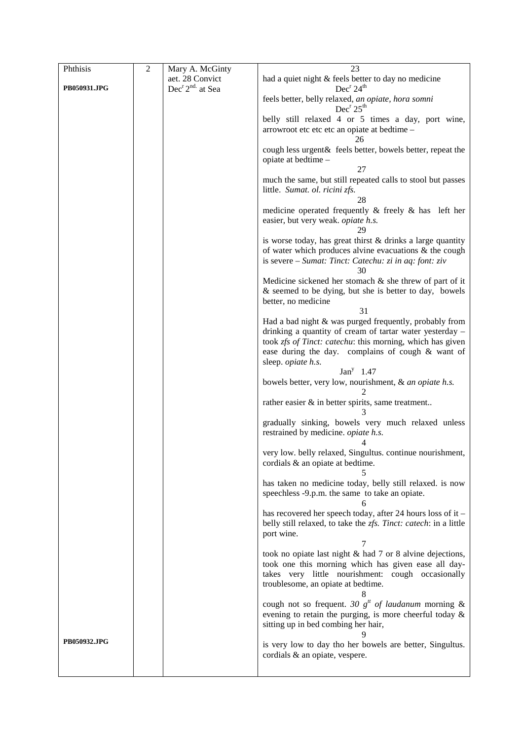| Phthisis     | $\mathfrak{2}$ | Mary A. McGinty                         | 23                                                                                         |
|--------------|----------------|-----------------------------------------|--------------------------------------------------------------------------------------------|
|              |                | aet. 28 Convict                         | had a quiet night & feels better to day no medicine                                        |
| PB050931.JPG |                | Dec <sup>r</sup> 2 <sup>nd</sup> at Sea | Dec <sup>r</sup> 24 <sup>th</sup>                                                          |
|              |                |                                         | feels better, belly relaxed, an opiate, hora somni<br>Dec <sup>r</sup> 25 <sup>th</sup>    |
|              |                |                                         | belly still relaxed 4 or 5 times a day, port wine,                                         |
|              |                |                                         | arrowroot etc etc etc an opiate at bedtime -<br>26                                         |
|              |                |                                         | cough less urgent & feels better, bowels better, repeat the                                |
|              |                |                                         | opiate at bedtime -<br>27                                                                  |
|              |                |                                         | much the same, but still repeated calls to stool but passes                                |
|              |                |                                         | little. Sumat. ol. ricini zfs.<br>28                                                       |
|              |                |                                         | medicine operated frequently $\&$ freely $\&$ has left her                                 |
|              |                |                                         | easier, but very weak. opiate h.s.<br>29                                                   |
|              |                |                                         | is worse today, has great thirst $&$ drinks a large quantity                               |
|              |                |                                         | of water which produces alvine evacuations $\&$ the cough                                  |
|              |                |                                         | is severe – Sumat: Tinct: Catechu: zi in aq: font: ziv<br>30                               |
|              |                |                                         | Medicine sickened her stomach $\&$ she threw of part of it                                 |
|              |                |                                         | & seemed to be dying, but she is better to day, bowels                                     |
|              |                |                                         | better, no medicine                                                                        |
|              |                |                                         | 31<br>Had a bad night & was purged frequently, probably from                               |
|              |                |                                         | drinking a quantity of cream of tartar water yesterday -                                   |
|              |                |                                         | took zfs of Tinct: catechu: this morning, which has given                                  |
|              |                |                                         | ease during the day. complains of cough & want of                                          |
|              |                |                                         | sleep. opiate h.s.                                                                         |
|              |                |                                         | $Jany$ 1.47                                                                                |
|              |                |                                         | bowels better, very low, nourishment, & an opiate h.s.                                     |
|              |                |                                         | rather easier $\&$ in better spirits, same treatment                                       |
|              |                |                                         | gradually sinking, bowels very much relaxed unless                                         |
|              |                |                                         | restrained by medicine. <i>opiate h.s.</i><br>4                                            |
|              |                |                                         | very low. belly relaxed, Singultus. continue nourishment,                                  |
|              |                |                                         | cordials & an opiate at bedtime.                                                           |
|              |                |                                         | has taken no medicine today, belly still relaxed. is now                                   |
|              |                |                                         | speechless -9.p.m. the same to take an opiate.                                             |
|              |                |                                         | has recovered her speech today, after 24 hours loss of it -                                |
|              |                |                                         | belly still relaxed, to take the zfs. Tinct: catech: in a little                           |
|              |                |                                         | port wine.                                                                                 |
|              |                |                                         | 7                                                                                          |
|              |                |                                         | took no opiate last night & had 7 or 8 alvine dejections,                                  |
|              |                |                                         | took one this morning which has given ease all day-                                        |
|              |                |                                         | takes very little nourishment: cough occasionally<br>troublesome, an opiate at bedtime.    |
|              |                |                                         |                                                                                            |
|              |                |                                         | cough not so frequent. 30 $gtt$ of laudanum morning &                                      |
|              |                |                                         | evening to retain the purging, is more cheerful today $\&$                                 |
|              |                |                                         | sitting up in bed combing her hair,                                                        |
| PB050932.JPG |                |                                         |                                                                                            |
|              |                |                                         | is very low to day tho her bowels are better, Singultus.<br>cordials & an opiate, vespere. |
|              |                |                                         |                                                                                            |
|              |                |                                         |                                                                                            |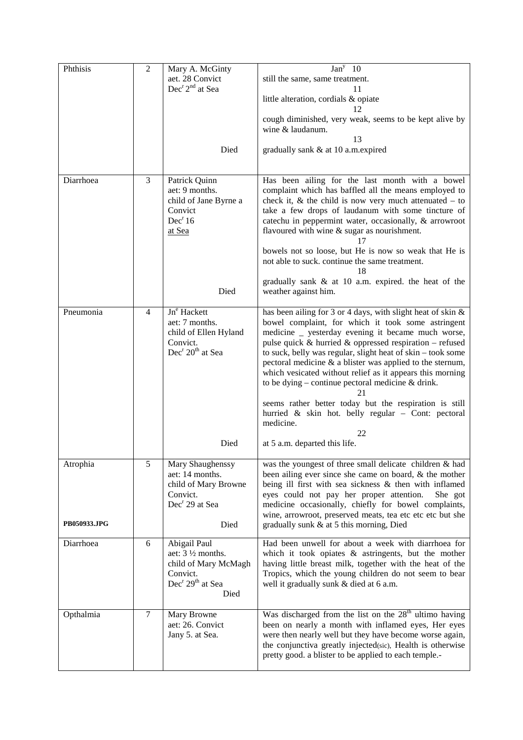| Phthisis     | $\sqrt{2}$     | Mary A. McGinty                          | Jan <sup>y</sup> 10                                                |
|--------------|----------------|------------------------------------------|--------------------------------------------------------------------|
|              |                | aet. 28 Convict                          | still the same, same treatment.                                    |
|              |                | Dec <sup>r</sup> 2 <sup>nd</sup> at Sea  | 11                                                                 |
|              |                |                                          | little alteration, cordials & opiate                               |
|              |                |                                          |                                                                    |
|              |                |                                          | cough diminished, very weak, seems to be kept alive by             |
|              |                |                                          | wine & laudanum.                                                   |
|              |                |                                          | 13                                                                 |
|              |                | Died                                     | gradually sank & at 10 a.m.expired                                 |
|              |                |                                          |                                                                    |
|              |                |                                          |                                                                    |
| Diarrhoea    | 3              | Patrick Quinn                            | Has been ailing for the last month with a bowel                    |
|              |                | aet: 9 months.                           | complaint which has baffled all the means employed to              |
|              |                | child of Jane Byrne a                    | check it, $\&$ the child is now very much attenuated $-$ to        |
|              |                | Convict                                  | take a few drops of laudanum with some tincture of                 |
|              |                | Dec <sup>r</sup> 16                      | catechu in peppermint water, occasionally, & arrowroot             |
|              |                | at Sea                                   | flavoured with wine & sugar as nourishment.                        |
|              |                |                                          | bowels not so loose, but He is now so weak that He is              |
|              |                |                                          | not able to suck. continue the same treatment.                     |
|              |                |                                          | 18                                                                 |
|              |                |                                          | gradually sank & at 10 a.m. expired. the heat of the               |
|              |                | Died                                     | weather against him.                                               |
| Pneumonia    | $\overline{4}$ | Jn <sup>e</sup> Hackett                  | has been ailing for 3 or 4 days, with slight heat of skin &        |
|              |                | aet: 7 months.                           | bowel complaint, for which it took some astringent                 |
|              |                | child of Ellen Hyland                    | medicine _ yesterday evening it became much worse,                 |
|              |                | Convict.                                 | pulse quick $\&$ hurried $\&$ oppressed respiration – refused      |
|              |                | Dec <sup>r</sup> 20 <sup>th</sup> at Sea | to suck, belly was regular, slight heat of skin - took some        |
|              |                |                                          | pectoral medicine $\&$ a blister was applied to the sternum,       |
|              |                |                                          | which vesicated without relief as it appears this morning          |
|              |                |                                          | to be dying – continue pectoral medicine $&$ drink.                |
|              |                |                                          | 21                                                                 |
|              |                |                                          | seems rather better today but the respiration is still             |
|              |                |                                          | hurried & skin hot. belly regular - Cont: pectoral                 |
|              |                |                                          | medicine.                                                          |
|              |                | Died                                     | 22<br>at 5 a.m. departed this life.                                |
|              |                |                                          |                                                                    |
| Atrophia     | 5              | Mary Shaughenssy                         | was the youngest of three small delicate children & had            |
|              |                | aet: 14 months.                          | been ailing ever since she came on board, & the mother             |
|              |                | child of Mary Browne                     | being ill first with sea sickness $\&$ then with inflamed          |
|              |                | Convict.                                 | eyes could not pay her proper attention.<br>She got                |
|              |                | Dec <sup>r</sup> 29 at Sea               | medicine occasionally, chiefly for bowel complaints,               |
|              |                |                                          | wine, arrowroot, preserved meats, tea etc etc etc but she          |
| PB050933.JPG |                | Died                                     | gradually sunk & at 5 this morning, Died                           |
| Diarrhoea    | 6              | Abigail Paul                             | Had been unwell for about a week with diarrhoea for                |
|              |                | aet: $3\frac{1}{2}$ months.              | which it took opiates $\&$ astringents, but the mother             |
|              |                | child of Mary McMagh                     | having little breast milk, together with the heat of the           |
|              |                | Convict.                                 | Tropics, which the young children do not seem to bear              |
|              |                | Dec <sup>r</sup> 29 <sup>th</sup> at Sea | well it gradually sunk & died at 6 a.m.                            |
|              |                | Died                                     |                                                                    |
| Opthalmia    | $\tau$         | Mary Browne                              | Was discharged from the list on the 28 <sup>th</sup> ultimo having |
|              |                | aet: 26. Convict                         | been on nearly a month with inflamed eyes, Her eyes                |
|              |                | Jany 5. at Sea.                          | were then nearly well but they have become worse again,            |
|              |                |                                          | the conjunctiva greatly injected(sic), Health is otherwise         |
|              |                |                                          | pretty good. a blister to be applied to each temple.-              |
|              |                |                                          |                                                                    |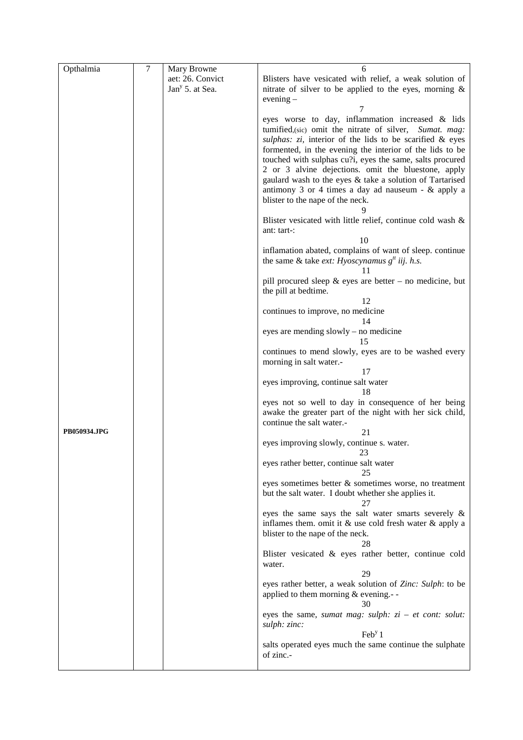| Opthalmia    | 7 | Mary Browne                 | 6                                                             |
|--------------|---|-----------------------------|---------------------------------------------------------------|
|              |   | aet: 26. Convict            | Blisters have vesicated with relief, a weak solution of       |
|              |   | Jan <sup>y</sup> 5. at Sea. | nitrate of silver to be applied to the eyes, morning $\&$     |
|              |   |                             |                                                               |
|              |   |                             | evening $-$                                                   |
|              |   |                             |                                                               |
|              |   |                             | eyes worse to day, inflammation increased & lids              |
|              |   |                             | tumified, (sic) omit the nitrate of silver, Sumat. mag:       |
|              |   |                             | sulphas: $zi$ , interior of the lids to be scarified & eyes   |
|              |   |                             | formented, in the evening the interior of the lids to be      |
|              |   |                             | touched with sulphas cu?i, eyes the same, salts procured      |
|              |   |                             | 2 or 3 alvine dejections. omit the bluestone, apply           |
|              |   |                             | gaulard wash to the eyes & take a solution of Tartarised      |
|              |   |                             | antimony 3 or 4 times a day ad nauseum $-$ & apply a          |
|              |   |                             | blister to the nape of the neck.                              |
|              |   |                             |                                                               |
|              |   |                             | Blister vesicated with little relief, continue cold wash &    |
|              |   |                             | ant: tart-:                                                   |
|              |   |                             | 10                                                            |
|              |   |                             | inflamation abated, complains of want of sleep. continue      |
|              |   |                             | the same & take <i>ext:</i> Hyoscynamus $g^{tt}$ iij. h.s.    |
|              |   |                             | 11                                                            |
|              |   |                             |                                                               |
|              |   |                             | pill procured sleep $&$ eyes are better – no medicine, but    |
|              |   |                             | the pill at bedtime.                                          |
|              |   |                             | 12                                                            |
|              |   |                             | continues to improve, no medicine                             |
|              |   |                             | 14                                                            |
|              |   |                             | eyes are mending slowly – no medicine                         |
|              |   |                             | 15                                                            |
|              |   |                             | continues to mend slowly, eyes are to be washed every         |
|              |   |                             | morning in salt water.-                                       |
|              |   |                             | 17                                                            |
|              |   |                             | eyes improving, continue salt water                           |
|              |   |                             | 18                                                            |
|              |   |                             | eyes not so well to day in consequence of her being           |
|              |   |                             | awake the greater part of the night with her sick child,      |
|              |   |                             | continue the salt water.-                                     |
| PB050934.JPG |   |                             | 21                                                            |
|              |   |                             | eyes improving slowly, continue s. water.                     |
|              |   |                             | 23                                                            |
|              |   |                             | eyes rather better, continue salt water                       |
|              |   |                             |                                                               |
|              |   |                             | eyes sometimes better & sometimes worse, no treatment         |
|              |   |                             | but the salt water. I doubt whether she applies it.           |
|              |   |                             | 27                                                            |
|              |   |                             | eyes the same says the salt water smarts severely &           |
|              |   |                             | inflames them. omit it $\&$ use cold fresh water $\&$ apply a |
|              |   |                             | blister to the nape of the neck.                              |
|              |   |                             | 28                                                            |
|              |   |                             | Blister vesicated & eyes rather better, continue cold         |
|              |   |                             | water.                                                        |
|              |   |                             | 29                                                            |
|              |   |                             | eyes rather better, a weak solution of Zinc: Sulph: to be     |
|              |   |                             | applied to them morning $&$ evening.--                        |
|              |   |                             | 30                                                            |
|              |   |                             | eyes the same, sumat mag: sulph: $zi - et cont$ : solut:      |
|              |   |                             | sulph: zinc:                                                  |
|              |   |                             | $\text{Feb}^{\text{y}}1$                                      |
|              |   |                             | salts operated eyes much the same continue the sulphate       |
|              |   |                             | of zinc.-                                                     |
|              |   |                             |                                                               |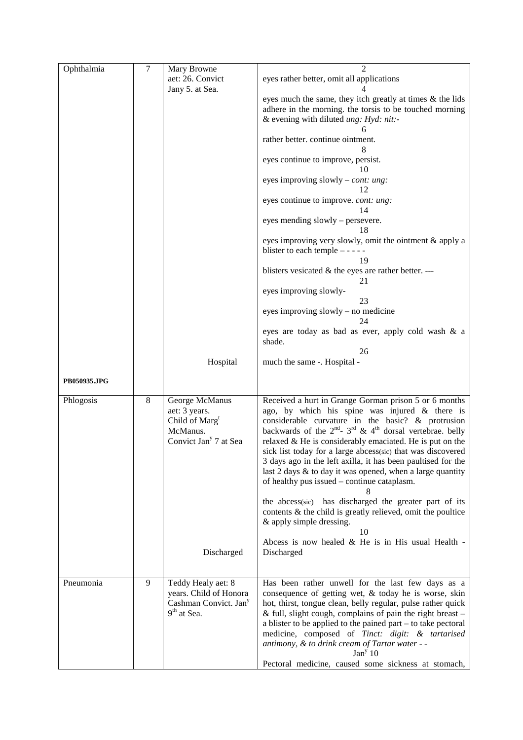| Ophthalmia   | $\tau$  | Mary Browne                       | $\mathfrak{D}$                                                          |
|--------------|---------|-----------------------------------|-------------------------------------------------------------------------|
|              |         | aet: 26. Convict                  | eyes rather better, omit all applications                               |
|              |         | Jany 5. at Sea.                   |                                                                         |
|              |         |                                   | eyes much the same, they itch greatly at times & the lids               |
|              |         |                                   | adhere in the morning. the torsis to be touched morning                 |
|              |         |                                   | & evening with diluted ung: Hyd: nit:-                                  |
|              |         |                                   |                                                                         |
|              |         |                                   |                                                                         |
|              |         |                                   | rather better. continue ointment.                                       |
|              |         |                                   | 8                                                                       |
|              |         |                                   | eyes continue to improve, persist.                                      |
|              |         |                                   | 10                                                                      |
|              |         |                                   | eyes improving slowly – <i>cont: ung:</i>                               |
|              |         |                                   | 12                                                                      |
|              |         |                                   | eyes continue to improve. cont: ung:                                    |
|              |         |                                   | 14                                                                      |
|              |         |                                   | eyes mending slowly – persevere.                                        |
|              |         |                                   | 18                                                                      |
|              |         |                                   |                                                                         |
|              |         |                                   | eyes improving very slowly, omit the ointment & apply a                 |
|              |         |                                   | blister to each temple $- - -$                                          |
|              |         |                                   | 19                                                                      |
|              |         |                                   | blisters vesicated $\&$ the eyes are rather better. ---                 |
|              |         |                                   | 21                                                                      |
|              |         |                                   | eyes improving slowly-                                                  |
|              |         |                                   | 23                                                                      |
|              |         |                                   | eyes improving slowly - no medicine                                     |
|              |         |                                   | 24                                                                      |
|              |         |                                   | eyes are today as bad as ever, apply cold wash & a                      |
|              |         |                                   | shade.                                                                  |
|              |         |                                   | 26                                                                      |
|              |         |                                   |                                                                         |
|              |         | Hospital                          | much the same -. Hospital -                                             |
|              |         |                                   |                                                                         |
| PB050935.JPG |         |                                   |                                                                         |
|              |         |                                   |                                                                         |
| Phlogosis    | $\,8\,$ | George McManus                    | Received a hurt in Grange Gorman prison 5 or 6 months                   |
|              |         | aet: 3 years.                     | ago, by which his spine was injured $\&$ there is                       |
|              |         | Child of Marg <sup>t</sup>        | considerable curvature in the basic? & protrusion                       |
|              |         | McManus.                          | backwards of the $2^{nd}$ - $3^{rd}$ & $4^{th}$ dorsal vertebrae. belly |
|              |         | Convict Jan <sup>y</sup> 7 at Sea | relaxed & He is considerably emaciated. He is put on the                |
|              |         |                                   | sick list today for a large abcess(sic) that was discovered             |
|              |         |                                   | 3 days ago in the left axilla, it has been paultised for the            |
|              |         |                                   | last $2$ days $\&$ to day it was opened, when a large quantity          |
|              |         |                                   | of healthy pus issued – continue cataplasm.                             |
|              |         |                                   |                                                                         |
|              |         |                                   |                                                                         |
|              |         |                                   | the abcess(sic) has discharged the greater part of its                  |
|              |         |                                   | contents & the child is greatly relieved, omit the poultice             |
|              |         |                                   | & apply simple dressing.                                                |
|              |         |                                   | 10                                                                      |
|              |         |                                   | Abcess is now healed $&$ He is in His usual Health -                    |
|              |         | Discharged                        | Discharged                                                              |
|              |         |                                   |                                                                         |
|              |         |                                   |                                                                         |
| Pneumonia    | 9       | Teddy Healy aet: 8                | Has been rather unwell for the last few days as a                       |
|              |         | years. Child of Honora            | consequence of getting wet, & today he is worse, skin                   |
|              |         | Cashman Convict. Jan <sup>y</sup> | hot, thirst, tongue clean, belly regular, pulse rather quick            |
|              |         | 9 <sup>th</sup> at Sea.           |                                                                         |
|              |         |                                   | & full, slight cough, complains of pain the right breast $-$            |
|              |         |                                   | a blister to be applied to the pained part – to take pectoral           |
|              |         |                                   | medicine, composed of Tinct: digit: & tartarised                        |
|              |         |                                   | antimony, & to drink cream of Tartar water - -                          |
|              |         |                                   | Jan <sup>y</sup> 10                                                     |
|              |         |                                   | Pectoral medicine, caused some sickness at stomach,                     |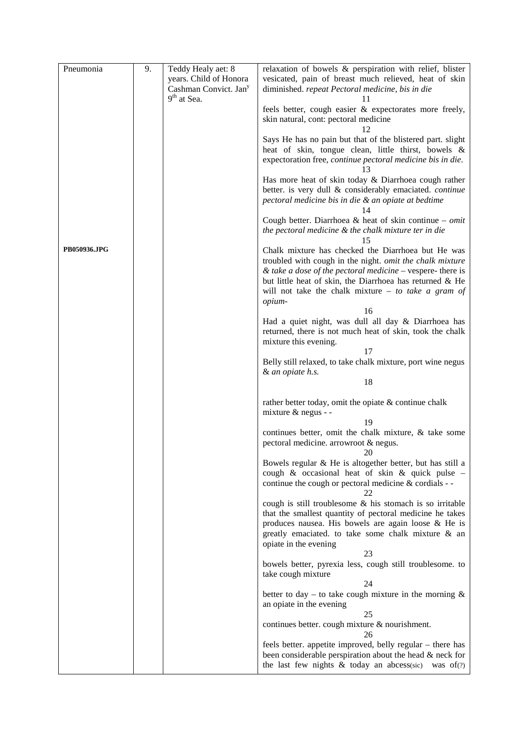| Pneumonia    | 9. | Teddy Healy aet: 8                                 | relaxation of bowels & perspiration with relief, blister                                                                                                                          |
|--------------|----|----------------------------------------------------|-----------------------------------------------------------------------------------------------------------------------------------------------------------------------------------|
|              |    | years. Child of Honora                             | vesicated, pain of breast much relieved, heat of skin                                                                                                                             |
|              |    | Cashman Convict. Jan <sup>y</sup><br>$9th$ at Sea. | diminished. repeat Pectoral medicine, bis in die                                                                                                                                  |
|              |    |                                                    | feels better, cough easier & expectorates more freely,                                                                                                                            |
|              |    |                                                    | skin natural, cont: pectoral medicine                                                                                                                                             |
|              |    |                                                    | 12                                                                                                                                                                                |
|              |    |                                                    | Says He has no pain but that of the blistered part. slight                                                                                                                        |
|              |    |                                                    | heat of skin, tongue clean, little thirst, bowels &<br>expectoration free, continue pectoral medicine bis in die.                                                                 |
|              |    |                                                    | 13                                                                                                                                                                                |
|              |    |                                                    | Has more heat of skin today & Diarrhoea cough rather                                                                                                                              |
|              |    |                                                    | better. is very dull & considerably emaciated. continue                                                                                                                           |
|              |    |                                                    | pectoral medicine bis in die & an opiate at bedtime<br>14                                                                                                                         |
|              |    |                                                    | Cough better. Diarrhoea & heat of skin continue – omit                                                                                                                            |
|              |    |                                                    | the pectoral medicine & the chalk mixture ter in die<br>15                                                                                                                        |
| PB050936.JPG |    |                                                    | Chalk mixture has checked the Diarrhoea but He was                                                                                                                                |
|              |    |                                                    | troubled with cough in the night. omit the chalk mixture                                                                                                                          |
|              |    |                                                    | & take a dose of the pectoral medicine $-$ vespere-there is<br>but little heat of skin, the Diarrhoea has returned & He                                                           |
|              |    |                                                    | will not take the chalk mixture $-$ to take a gram of                                                                                                                             |
|              |    |                                                    | opium-                                                                                                                                                                            |
|              |    |                                                    | 16                                                                                                                                                                                |
|              |    |                                                    | Had a quiet night, was dull all day & Diarrhoea has<br>returned, there is not much heat of skin, took the chalk                                                                   |
|              |    |                                                    | mixture this evening.                                                                                                                                                             |
|              |    |                                                    | 17                                                                                                                                                                                |
|              |    |                                                    | Belly still relaxed, to take chalk mixture, port wine negus                                                                                                                       |
|              |    |                                                    | & an opiate h.s.<br>18                                                                                                                                                            |
|              |    |                                                    |                                                                                                                                                                                   |
|              |    |                                                    | rather better today, omit the opiate $&$ continue chalk                                                                                                                           |
|              |    |                                                    | mixture & negus - -<br>19                                                                                                                                                         |
|              |    |                                                    | continues better, omit the chalk mixture, & take some                                                                                                                             |
|              |    |                                                    | pectoral medicine. arrowroot & negus.                                                                                                                                             |
|              |    |                                                    | 20                                                                                                                                                                                |
|              |    |                                                    | Bowels regular $\&$ He is altogether better, but has still a<br>cough & occasional heat of skin & quick pulse -                                                                   |
|              |    |                                                    | continue the cough or pectoral medicine & cordials - -                                                                                                                            |
|              |    |                                                    | 22                                                                                                                                                                                |
|              |    |                                                    | cough is still troublesome & his stomach is so irritable<br>that the smallest quantity of pectoral medicine he takes                                                              |
|              |    |                                                    | produces nausea. His bowels are again loose $\&$ He is                                                                                                                            |
|              |    |                                                    | greatly emaciated. to take some chalk mixture & an                                                                                                                                |
|              |    |                                                    | opiate in the evening                                                                                                                                                             |
|              |    |                                                    | 23<br>bowels better, pyrexia less, cough still troublesome. to                                                                                                                    |
|              |    |                                                    | take cough mixture                                                                                                                                                                |
|              |    |                                                    | 24                                                                                                                                                                                |
|              |    |                                                    | better to day – to take cough mixture in the morning $\&$<br>an opiate in the evening                                                                                             |
|              |    |                                                    | 25                                                                                                                                                                                |
|              |    |                                                    | continues better. cough mixture & nourishment.<br>26                                                                                                                              |
|              |    |                                                    | feels better. appetite improved, belly regular - there has<br>been considerable perspiration about the head & neck for<br>the last few nights $\&$ today an abcess(sic) was of(?) |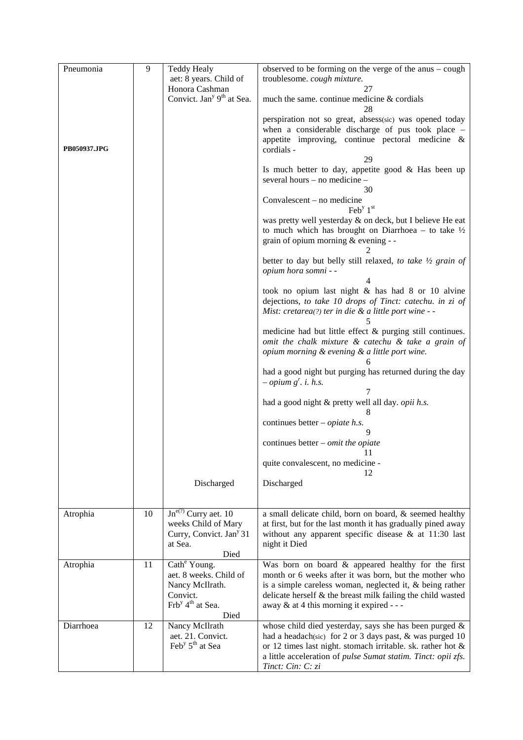| Pneumonia    | 9  | <b>Teddy Healy</b><br>aet: 8 years. Child of                                                                                  | observed to be forming on the verge of the anus $-\text{cough}$<br>troublesome. cough mixture.                                                                                                                                                                                       |
|--------------|----|-------------------------------------------------------------------------------------------------------------------------------|--------------------------------------------------------------------------------------------------------------------------------------------------------------------------------------------------------------------------------------------------------------------------------------|
|              |    | Honora Cashman<br>Convict. Jan <sup>y 9th</sup> at Sea.                                                                       | 27<br>much the same. continue medicine & cordials<br>28                                                                                                                                                                                                                              |
| PB050937.JPG |    |                                                                                                                               | perspiration not so great, absess(sic) was opened today<br>when a considerable discharge of pus took place -<br>appetite improving, continue pectoral medicine $\&$<br>cordials -<br>29<br>Is much better to day, appetite good & Has been up<br>several hours - no medicine -       |
|              |    |                                                                                                                               | 30<br>Convalescent – no medicine                                                                                                                                                                                                                                                     |
|              |    |                                                                                                                               | $\text{Feb}^{\text{y}} 1^{\text{st}}$<br>was pretty well yesterday & on deck, but I believe He eat<br>to much which has brought on Diarrhoea – to take $\frac{1}{2}$<br>grain of opium morning & evening - -                                                                         |
|              |    |                                                                                                                               | better to day but belly still relaxed, to take 1/2 grain of<br>opium hora somni - -                                                                                                                                                                                                  |
|              |    |                                                                                                                               | took no opium last night & has had 8 or 10 alvine<br>dejections, to take 10 drops of Tinct: catechu. in zi of<br>Mist: cretarea(?) ter in die $\&$ a little port wine - -                                                                                                            |
|              |    |                                                                                                                               | medicine had but little effect & purging still continues.<br>omit the chalk mixture & catechu & take a grain of<br>opium morning & evening & a little port wine.                                                                                                                     |
|              |    |                                                                                                                               | had a good night but purging has returned during the day<br>$-$ opium g <sup>r</sup> . <i>i.</i> h.s.                                                                                                                                                                                |
|              |    |                                                                                                                               | 7<br>had a good night & pretty well all day. opii h.s.                                                                                                                                                                                                                               |
|              |    |                                                                                                                               | continues better – <i>opiate h.s.</i>                                                                                                                                                                                                                                                |
|              |    |                                                                                                                               | continues better $-$ omit the opiate<br>11                                                                                                                                                                                                                                           |
|              |    |                                                                                                                               | quite convalescent, no medicine -<br>12                                                                                                                                                                                                                                              |
|              |    | Discharged                                                                                                                    | Discharged                                                                                                                                                                                                                                                                           |
| Atrophia     | 10 | $\text{Jn}^{\text{e}(2)}$ Curry aet. 10<br>weeks Child of Mary<br>Curry, Convict. Jan <sup>y</sup> 31<br>at Sea.<br>Died      | a small delicate child, born on board, & seemed healthy<br>at first, but for the last month it has gradually pined away<br>without any apparent specific disease $\&$ at 11:30 last<br>night it Died                                                                                 |
| Atrophia     | 11 | Cath <sup>e</sup> Young.<br>aet. 8 weeks. Child of<br>Nancy McIlrath.<br>Convict.<br>Frb <sup>y</sup> 4 <sup>th</sup> at Sea. | Was born on board & appeared healthy for the first<br>month or 6 weeks after it was born, but the mother who<br>is a simple careless woman, neglected it, & being rather<br>delicate herself & the breast milk failing the child wasted<br>away & at 4 this morning it expired - - - |
| Diarrhoea    | 12 | Died<br>Nancy McIlrath<br>aet. 21. Convict.<br>Feb <sup>y</sup> 5 <sup>th</sup> at Sea                                        | whose child died yesterday, says she has been purged &<br>had a headach(sic) for 2 or 3 days past, & was purged 10<br>or 12 times last night. stomach irritable. sk. rather hot &<br>a little acceleration of pulse Sumat statim. Tinct: opii zfs.<br>Tinct: Cin: C: zi              |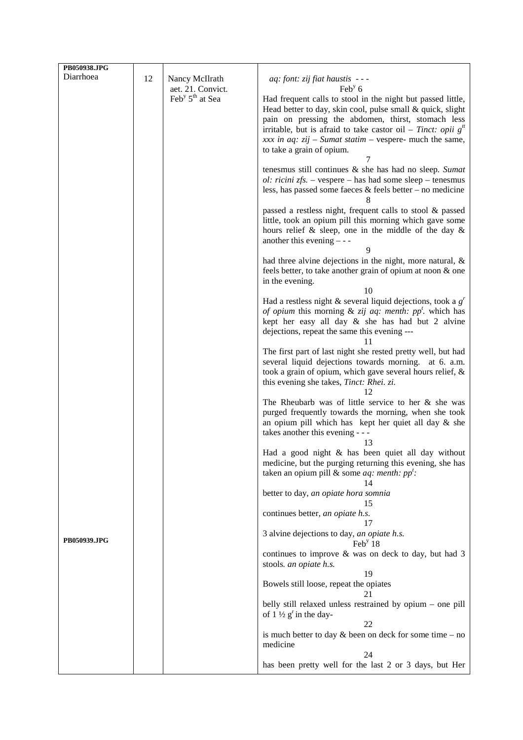| PB050938.JPG |    |                                         |                                                                                                                            |
|--------------|----|-----------------------------------------|----------------------------------------------------------------------------------------------------------------------------|
| Diarrhoea    | 12 | Nancy McIlrath                          | aq: font: zij fiat haustis ---                                                                                             |
|              |    | aet. 21. Convict.                       | $\text{Feb}^{\text{y}}$ 6                                                                                                  |
|              |    | Feb <sup>y</sup> 5 <sup>th</sup> at Sea | Had frequent calls to stool in the night but passed little,                                                                |
|              |    |                                         | Head better to day, skin cool, pulse small & quick, slight<br>pain on pressing the abdomen, thirst, stomach less           |
|              |    |                                         | irritable, but is afraid to take castor oil – Tinct: opii $gtt$                                                            |
|              |    |                                         | xxx in aq: $zij$ – Sumat statim – vespere- much the same,                                                                  |
|              |    |                                         | to take a grain of opium.                                                                                                  |
|              |    |                                         |                                                                                                                            |
|              |    |                                         | tenesmus still continues & she has had no sleep. Sumat<br><i>ol: ricini zfs.</i> – vespere – has had some sleep – tenesmus |
|              |    |                                         | less, has passed some faces $\&$ feels better – no medicine                                                                |
|              |    |                                         | 8                                                                                                                          |
|              |    |                                         | passed a restless night, frequent calls to stool & passed                                                                  |
|              |    |                                         | little, took an opium pill this morning which gave some<br>hours relief $\&$ sleep, one in the middle of the day $\&$      |
|              |    |                                         | another this evening $-$ - -                                                                                               |
|              |    |                                         | 9                                                                                                                          |
|              |    |                                         | had three alvine dejections in the night, more natural, $\&$                                                               |
|              |    |                                         | feels better, to take another grain of opium at noon & one<br>in the evening.                                              |
|              |    |                                         | 10                                                                                                                         |
|              |    |                                         | Had a restless night & several liquid dejections, took a $gr$                                                              |
|              |    |                                         | of opium this morning & zij aq: menth: $ppt$ . which has                                                                   |
|              |    |                                         | kept her easy all day & she has had but 2 alvine<br>dejections, repeat the same this evening ---                           |
|              |    |                                         | 11                                                                                                                         |
|              |    |                                         | The first part of last night she rested pretty well, but had                                                               |
|              |    |                                         | several liquid dejections towards morning. at 6. a.m.<br>took a grain of opium, which gave several hours relief, &         |
|              |    |                                         | this evening she takes, Tinct: Rhei. zi.                                                                                   |
|              |    |                                         | 12                                                                                                                         |
|              |    |                                         | The Rheubarb was of little service to her $\&$ she was                                                                     |
|              |    |                                         | purged frequently towards the morning, when she took<br>an opium pill which has kept her quiet all day $\&$ she            |
|              |    |                                         | takes another this evening - - -                                                                                           |
|              |    |                                         | 13                                                                                                                         |
|              |    |                                         | Had a good night & has been quiet all day without                                                                          |
|              |    |                                         | medicine, but the purging returning this evening, she has<br>taken an opium pill & some <i>aq: menth: pp<sup>t</sup></i> : |
|              |    |                                         | 14                                                                                                                         |
|              |    |                                         | better to day, an opiate hora somnia                                                                                       |
|              |    |                                         | 15                                                                                                                         |
|              |    |                                         | continues better, an opiate h.s.<br>17                                                                                     |
|              |    |                                         | 3 alvine dejections to day, an opiate h.s.                                                                                 |
| PB050939.JPG |    |                                         | Feb <sup>y</sup> 18                                                                                                        |
|              |    |                                         | continues to improve & was on deck to day, but had 3                                                                       |
|              |    |                                         | stools. an opiate h.s.<br>19                                                                                               |
|              |    |                                         | Bowels still loose, repeat the opiates                                                                                     |
|              |    |                                         | 21                                                                                                                         |
|              |    |                                         | belly still relaxed unless restrained by opium – one pill<br>of $1\frac{1}{2}$ g <sup>r</sup> in the day-                  |
|              |    |                                         | 22                                                                                                                         |
|              |    |                                         | is much better to day $&$ been on deck for some time – no                                                                  |
|              |    |                                         | medicine                                                                                                                   |
|              |    |                                         | 24<br>has been pretty well for the last 2 or 3 days, but Her                                                               |
|              |    |                                         |                                                                                                                            |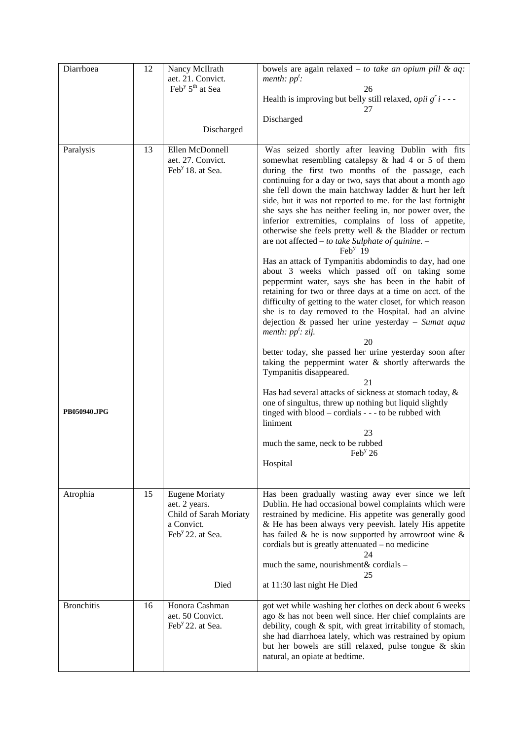| Diarrhoea         | 12 | Nancy McIlrath<br>aet. 21. Convict.<br>Feb <sup>y</sup> $5th$ at Sea                                           | bowels are again relaxed $-$ to take an opium pill & aq:<br>menth: $pp'$ :<br>26<br>Health is improving but belly still relaxed, <i>opii</i> $g'$ <i>i</i> - - -<br>27                                                                                                                                                                                                                                                                                                                                                                                                                                            |
|-------------------|----|----------------------------------------------------------------------------------------------------------------|-------------------------------------------------------------------------------------------------------------------------------------------------------------------------------------------------------------------------------------------------------------------------------------------------------------------------------------------------------------------------------------------------------------------------------------------------------------------------------------------------------------------------------------------------------------------------------------------------------------------|
|                   |    | Discharged                                                                                                     | Discharged                                                                                                                                                                                                                                                                                                                                                                                                                                                                                                                                                                                                        |
| Paralysis         | 13 | Ellen McDonnell<br>aet. 27. Convict.<br>Feb <sup>y</sup> 18. at Sea.                                           | Was seized shortly after leaving Dublin with fits<br>somewhat resembling catalepsy $\&$ had 4 or 5 of them<br>during the first two months of the passage, each<br>continuing for a day or two, says that about a month ago<br>she fell down the main hatchway ladder & hurt her left<br>side, but it was not reported to me. for the last fortnight<br>she says she has neither feeling in, nor power over, the<br>inferior extremities, complains of loss of appetite,<br>otherwise she feels pretty well $\&$ the Bladder or rectum<br>are not affected - to take Sulphate of quinine. -<br>Feb <sup>y</sup> 19 |
|                   |    |                                                                                                                | Has an attack of Tympanitis abdomindis to day, had one<br>about 3 weeks which passed off on taking some<br>peppermint water, says she has been in the habit of<br>retaining for two or three days at a time on acct. of the<br>difficulty of getting to the water closet, for which reason<br>she is to day removed to the Hospital. had an alvine<br>dejection & passed her urine yesterday - Sumat aqua<br>menth: $pp'$ : zij.<br>20                                                                                                                                                                            |
|                   |    |                                                                                                                | better today, she passed her urine yesterday soon after<br>taking the peppermint water $\&$ shortly afterwards the<br>Tympanitis disappeared.<br>21<br>Has had several attacks of sickness at stomach today, &                                                                                                                                                                                                                                                                                                                                                                                                    |
| PB050940.JPG      |    |                                                                                                                | one of singultus, threw up nothing but liquid slightly<br>tinged with blood – cordials - - - to be rubbed with<br>liniment<br>23<br>much the same, neck to be rubbed<br>Feb <sup>y</sup> 26                                                                                                                                                                                                                                                                                                                                                                                                                       |
|                   |    |                                                                                                                | Hospital                                                                                                                                                                                                                                                                                                                                                                                                                                                                                                                                                                                                          |
| Atrophia          | 15 | <b>Eugene Moriaty</b><br>aet. 2 years.<br>Child of Sarah Moriaty<br>a Convict.<br>Feb <sup>y</sup> 22. at Sea. | Has been gradually wasting away ever since we left<br>Dublin. He had occasional bowel complaints which were<br>restrained by medicine. His appetite was generally good<br>& He has been always very peevish. lately His appetite<br>has failed $\&$ he is now supported by arrowroot wine $\&$<br>cordials but is greatly attenuated – no medicine<br>24                                                                                                                                                                                                                                                          |
|                   |    | Died                                                                                                           | much the same, nourishment& cordials -<br>25<br>at 11:30 last night He Died                                                                                                                                                                                                                                                                                                                                                                                                                                                                                                                                       |
| <b>Bronchitis</b> | 16 | Honora Cashman<br>aet. 50 Convict.<br>Feb <sup>y</sup> 22. at Sea.                                             | got wet while washing her clothes on deck about 6 weeks<br>ago & has not been well since. Her chief complaints are<br>debility, cough & spit, with great irritability of stomach,<br>she had diarrhoea lately, which was restrained by opium<br>but her bowels are still relaxed, pulse tongue & skin<br>natural, an opiate at bedtime.                                                                                                                                                                                                                                                                           |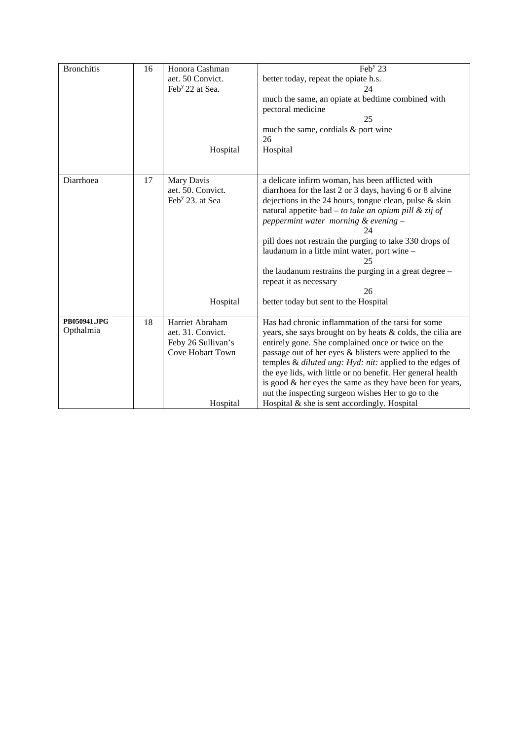| <b>Bronchitis</b> |    | Honora Cashman              | $\overline{\text{Feb}}^y 23$                                |
|-------------------|----|-----------------------------|-------------------------------------------------------------|
|                   | 16 |                             |                                                             |
|                   |    | aet. 50 Convict.            | better today, repeat the opiate h.s.                        |
|                   |    | Feb <sup>y</sup> 22 at Sea. | 24                                                          |
|                   |    |                             | much the same, an opiate at bedtime combined with           |
|                   |    |                             | pectoral medicine                                           |
|                   |    |                             | 25                                                          |
|                   |    |                             |                                                             |
|                   |    |                             | much the same, cordials & port wine                         |
|                   |    |                             | 26                                                          |
|                   |    | Hospital                    | Hospital                                                    |
|                   |    |                             |                                                             |
|                   |    |                             |                                                             |
| Diarrhoea         | 17 | Mary Davis                  | a delicate infirm woman, has been afflicted with            |
|                   |    | aet. 50. Convict.           | diarrhoea for the last 2 or 3 days, having 6 or 8 alvine    |
|                   |    | Feb <sup>y</sup> 23. at Sea | dejections in the 24 hours, tongue clean, pulse $\&$ skin   |
|                   |    |                             | natural appetite bad – to take an opium pill & zij of       |
|                   |    |                             |                                                             |
|                   |    |                             | peppermint water morning & evening -                        |
|                   |    |                             | 24                                                          |
|                   |    |                             | pill does not restrain the purging to take 330 drops of     |
|                   |    |                             | laudanum in a little mint water, port wine -                |
|                   |    |                             | 25                                                          |
|                   |    |                             | the laudanum restrains the purging in a great degree –      |
|                   |    |                             | repeat it as necessary                                      |
|                   |    |                             | 26                                                          |
|                   |    |                             |                                                             |
|                   |    | Hospital                    | better today but sent to the Hospital                       |
| PB050941.JPG      |    |                             | Has had chronic inflammation of the tarsi for some          |
| Opthalmia         | 18 | Harriet Abraham             |                                                             |
|                   |    | aet. 31. Convict.           | years, she says brought on by heats & colds, the cilia are  |
|                   |    | Feby 26 Sullivan's          | entirely gone. She complained once or twice on the          |
|                   |    | Cove Hobart Town            | passage out of her eyes & blisters were applied to the      |
|                   |    |                             | temples & diluted ung: Hyd: nit: applied to the edges of    |
|                   |    |                             | the eye lids, with little or no benefit. Her general health |
|                   |    |                             | is good $\&$ her eyes the same as they have been for years, |
|                   |    |                             | nut the inspecting surgeon wishes Her to go to the          |
|                   |    |                             |                                                             |
|                   |    | Hospital                    | Hospital $\&$ she is sent accordingly. Hospital             |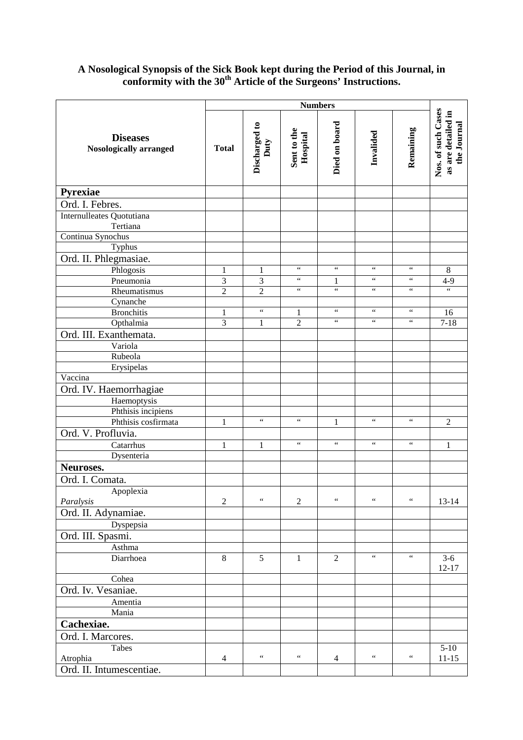### **A Nosological Synopsis of the Sick Book kept during the Period of this Journal, in conformity with the 30th Article of the Surgeons' Instructions.**

|                                              | <b>Numbers</b> |                                            |                                    |                                                 |                                    |                               |                                                         |
|----------------------------------------------|----------------|--------------------------------------------|------------------------------------|-------------------------------------------------|------------------------------------|-------------------------------|---------------------------------------------------------|
| <b>Diseases</b><br>Nosologically arranged    | <b>Total</b>   | Discharged to<br>Duty                      | Sent to the<br>Hospital            | Died on board                                   | Invalided                          | Remaining                     | Nos. of such Cases<br>as are detailed in<br>the Journal |
| <b>Pyrexiae</b>                              |                |                                            |                                    |                                                 |                                    |                               |                                                         |
| Ord. I. Febres.                              |                |                                            |                                    |                                                 |                                    |                               |                                                         |
| <b>Internulleates Quotutiana</b><br>Tertiana |                |                                            |                                    |                                                 |                                    |                               |                                                         |
| Continua Synochus                            |                |                                            |                                    |                                                 |                                    |                               |                                                         |
| Typhus                                       |                |                                            |                                    |                                                 |                                    |                               |                                                         |
| Ord. II. Phlegmasiae.                        |                |                                            |                                    |                                                 |                                    |                               |                                                         |
| Phlogosis                                    | 1              | 1                                          | $\zeta\,\zeta$                     | $\zeta\,\zeta$                                  | $\zeta$ $\zeta$                    | $\zeta\,\zeta$                | $\,8\,$                                                 |
| Pneumonia                                    | 3              | 3                                          | $\zeta$ $\zeta$<br>$\zeta$ $\zeta$ | 1<br>$\boldsymbol{\zeta} \, \boldsymbol{\zeta}$ | $\zeta$ $\zeta$<br>$\zeta$ $\zeta$ | $\zeta\,\zeta$<br>$\,$ 6 $\,$ | $4-9$<br>$\zeta$ $\zeta$                                |
| Rheumatismus                                 | $\overline{2}$ | $\overline{2}$                             |                                    |                                                 |                                    |                               |                                                         |
| Cynanche<br><b>Bronchitis</b>                | 1              | $\boldsymbol{\zeta} \, \boldsymbol{\zeta}$ | $\mathbf{1}$                       | $\zeta\,\zeta$                                  | $\zeta$ $\zeta$                    | $\zeta\,\zeta$                | 16                                                      |
| Opthalmia                                    | 3              | 1                                          | $\overline{2}$                     | $\zeta$ $\zeta$                                 | $\zeta$ $\zeta$                    | $\zeta\,\zeta$                | $7 - 18$                                                |
| Ord. III. Exanthemata.                       |                |                                            |                                    |                                                 |                                    |                               |                                                         |
| Variola                                      |                |                                            |                                    |                                                 |                                    |                               |                                                         |
| Rubeola                                      |                |                                            |                                    |                                                 |                                    |                               |                                                         |
| Erysipelas                                   |                |                                            |                                    |                                                 |                                    |                               |                                                         |
| Vaccina                                      |                |                                            |                                    |                                                 |                                    |                               |                                                         |
| Ord. IV. Haemorrhagiae                       |                |                                            |                                    |                                                 |                                    |                               |                                                         |
| Haemoptysis                                  |                |                                            |                                    |                                                 |                                    |                               |                                                         |
| Phthisis incipiens                           |                |                                            |                                    |                                                 |                                    |                               |                                                         |
| Phthisis cosfirmata                          | $\mathbf{1}$   | $\zeta\,\zeta$                             | $\zeta\,\zeta$                     | $\mathbf{1}$                                    | $\zeta \, \zeta$                   | $\zeta\,\zeta$                | $\overline{2}$                                          |
| Ord. V. Profluvia.                           |                |                                            |                                    |                                                 |                                    |                               |                                                         |
| Catarrhus                                    | $\mathbf{1}$   | $\mathbf{1}$                               | $\zeta\,\zeta$                     | $\zeta$ $\zeta$                                 | $\zeta\,\zeta$                     | $\zeta$ $\zeta$               | $\mathbf{1}$                                            |
| Dysenteria                                   |                |                                            |                                    |                                                 |                                    |                               |                                                         |
| Neuroses.                                    |                |                                            |                                    |                                                 |                                    |                               |                                                         |
| Ord. I. Comata.                              |                |                                            |                                    |                                                 |                                    |                               |                                                         |
| Apoplexia                                    |                |                                            |                                    |                                                 |                                    |                               |                                                         |
| Paralysis                                    | $\mathfrak{2}$ | $\zeta\,\zeta$                             | $\overline{2}$                     | $\zeta\,\zeta$                                  | $\zeta\,\zeta$                     | $\zeta\,\zeta$                | $13 - 14$                                               |
| Ord. II. Adynamiae.                          |                |                                            |                                    |                                                 |                                    |                               |                                                         |
| Dyspepsia                                    |                |                                            |                                    |                                                 |                                    |                               |                                                         |
| Ord. III. Spasmi.                            |                |                                            |                                    |                                                 |                                    |                               |                                                         |
| Asthma                                       |                |                                            |                                    |                                                 |                                    |                               |                                                         |
| Diarrhoea                                    | 8              | 5                                          | $\mathbf{1}$                       | $\overline{2}$                                  | $\zeta\,\zeta$                     | $\zeta\,\zeta$                | $3-6$<br>$12 - 17$                                      |
| Cohea                                        |                |                                            |                                    |                                                 |                                    |                               |                                                         |
| Ord. Iv. Vesaniae.                           |                |                                            |                                    |                                                 |                                    |                               |                                                         |
| Amentia                                      |                |                                            |                                    |                                                 |                                    |                               |                                                         |
| Mania                                        |                |                                            |                                    |                                                 |                                    |                               |                                                         |
| Cachexiae.                                   |                |                                            |                                    |                                                 |                                    |                               |                                                         |
| Ord. I. Marcores.                            |                |                                            |                                    |                                                 |                                    |                               |                                                         |
| Tabes                                        |                |                                            |                                    |                                                 |                                    |                               | $5-10$                                                  |
| Atrophia                                     | $\overline{4}$ | $\zeta\,\zeta$                             | $\zeta\,\zeta$                     | 4                                               | $\zeta$ $\zeta$                    | $\,$ 6 $\,$                   | $11 - 15$                                               |
| Ord. II. Intumescentiae.                     |                |                                            |                                    |                                                 |                                    |                               |                                                         |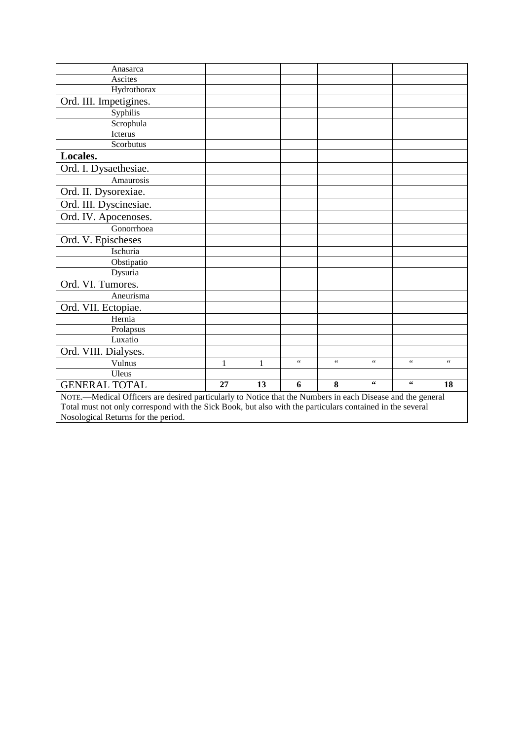| Anasarca                                                                                                   |    |    |                 |                 |                  |                    |                 |  |  |
|------------------------------------------------------------------------------------------------------------|----|----|-----------------|-----------------|------------------|--------------------|-----------------|--|--|
| Ascites                                                                                                    |    |    |                 |                 |                  |                    |                 |  |  |
| Hydrothorax                                                                                                |    |    |                 |                 |                  |                    |                 |  |  |
| Ord. III. Impetigines.                                                                                     |    |    |                 |                 |                  |                    |                 |  |  |
| Syphilis                                                                                                   |    |    |                 |                 |                  |                    |                 |  |  |
| Scrophula                                                                                                  |    |    |                 |                 |                  |                    |                 |  |  |
| <b>Icterus</b>                                                                                             |    |    |                 |                 |                  |                    |                 |  |  |
| Scorbutus                                                                                                  |    |    |                 |                 |                  |                    |                 |  |  |
| Locales.                                                                                                   |    |    |                 |                 |                  |                    |                 |  |  |
| Ord. I. Dysaethesiae.                                                                                      |    |    |                 |                 |                  |                    |                 |  |  |
| Amaurosis                                                                                                  |    |    |                 |                 |                  |                    |                 |  |  |
| Ord. II. Dysorexiae.                                                                                       |    |    |                 |                 |                  |                    |                 |  |  |
| Ord. III. Dyscinesiae.                                                                                     |    |    |                 |                 |                  |                    |                 |  |  |
| Ord. IV. Apocenoses.                                                                                       |    |    |                 |                 |                  |                    |                 |  |  |
| Gonorrhoea                                                                                                 |    |    |                 |                 |                  |                    |                 |  |  |
| Ord. V. Epischeses                                                                                         |    |    |                 |                 |                  |                    |                 |  |  |
| Ischuria                                                                                                   |    |    |                 |                 |                  |                    |                 |  |  |
| Obstipatio                                                                                                 |    |    |                 |                 |                  |                    |                 |  |  |
| Dysuria                                                                                                    |    |    |                 |                 |                  |                    |                 |  |  |
| Ord. VI. Tumores.                                                                                          |    |    |                 |                 |                  |                    |                 |  |  |
| Aneurisma                                                                                                  |    |    |                 |                 |                  |                    |                 |  |  |
| Ord. VII. Ectopiae.                                                                                        |    |    |                 |                 |                  |                    |                 |  |  |
| Hernia                                                                                                     |    |    |                 |                 |                  |                    |                 |  |  |
| Prolapsus                                                                                                  |    |    |                 |                 |                  |                    |                 |  |  |
| Luxatio                                                                                                    |    |    |                 |                 |                  |                    |                 |  |  |
| Ord. VIII. Dialyses.                                                                                       |    |    |                 |                 |                  |                    |                 |  |  |
| Vulnus                                                                                                     | 1  | 1  | $\zeta$ $\zeta$ | $\zeta$ $\zeta$ | $\zeta \, \zeta$ | $\zeta$ $\zeta$    | $\zeta$ $\zeta$ |  |  |
| Uleus                                                                                                      |    |    |                 |                 |                  |                    |                 |  |  |
| <b>GENERAL TOTAL</b>                                                                                       | 27 | 13 | 6               | 8               | 66               | $\epsilon\epsilon$ | 18              |  |  |
| NOTE.—Medical Officers are desired particularly to Notice that the Numbers in each Disease and the general |    |    |                 |                 |                  |                    |                 |  |  |
| Total must not only correspond with the Sick Book, but also with the particulars contained in the several  |    |    |                 |                 |                  |                    |                 |  |  |
| Nosological Returns for the period.                                                                        |    |    |                 |                 |                  |                    |                 |  |  |